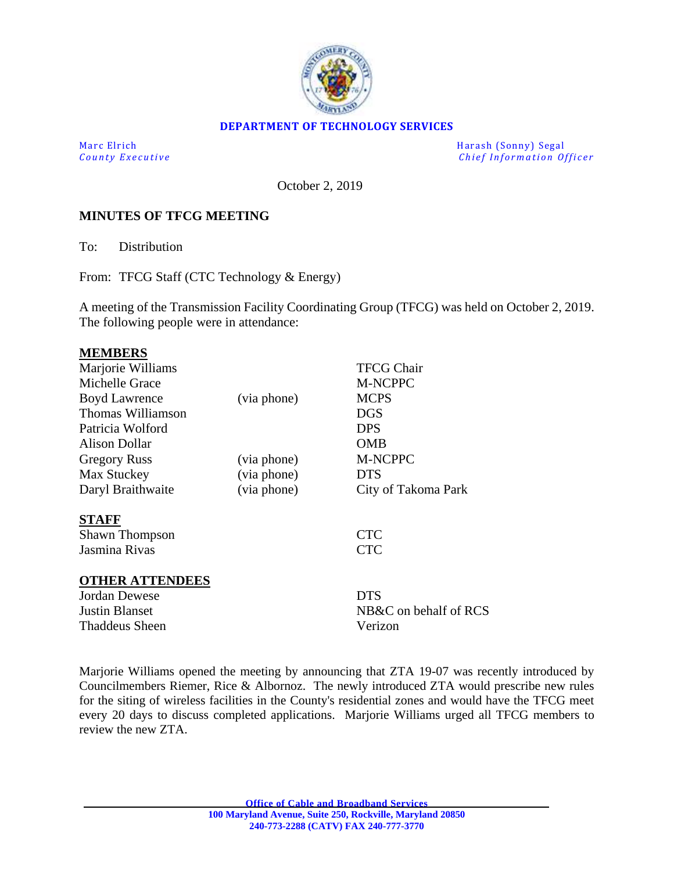

### **DEPARTMENT OF TECHNOLOGY SERVICES**

Marc Elrich Harash (Sonny) Segal *County Executive* **County Executive Change in the county Executive Chief Information Officer** 

October 2, 2019

## **MINUTES OF TFCG MEETING**

To: Distribution

From: TFCG Staff (CTC Technology & Energy)

A meeting of the Transmission Facility Coordinating Group (TFCG) was held on October 2, 2019. The following people were in attendance:

#### **MEMBERS**

| Marjorie Williams      |             | <b>TFCG Chair</b>     |
|------------------------|-------------|-----------------------|
| Michelle Grace         |             | <b>M-NCPPC</b>        |
| <b>Boyd Lawrence</b>   | (via phone) | <b>MCPS</b>           |
| Thomas Williamson      |             | <b>DGS</b>            |
| Patricia Wolford       |             | <b>DPS</b>            |
| Alison Dollar          |             | <b>OMB</b>            |
| <b>Gregory Russ</b>    | (via phone) | <b>M-NCPPC</b>        |
| Max Stuckey            | (via phone) | <b>DTS</b>            |
| Daryl Braithwaite      | (via phone) | City of Takoma Park   |
| <b>STAFF</b>           |             |                       |
| <b>Shawn Thompson</b>  |             | <b>CTC</b>            |
| Jasmina Rivas          |             | <b>CTC</b>            |
| <b>OTHER ATTENDEES</b> |             |                       |
| Jordan Dewese          |             | <b>DTS</b>            |
| <b>Justin Blanset</b>  |             | NB&C on behalf of RCS |
| <b>Thaddeus Sheen</b>  |             | Verizon               |
|                        |             |                       |

Marjorie Williams opened the meeting by announcing that ZTA 19-07 was recently introduced by Councilmembers Riemer, Rice & Albornoz. The newly introduced ZTA would prescribe new rules for the siting of wireless facilities in the County's residential zones and would have the TFCG meet every 20 days to discuss completed applications. Marjorie Williams urged all TFCG members to review the new ZTA.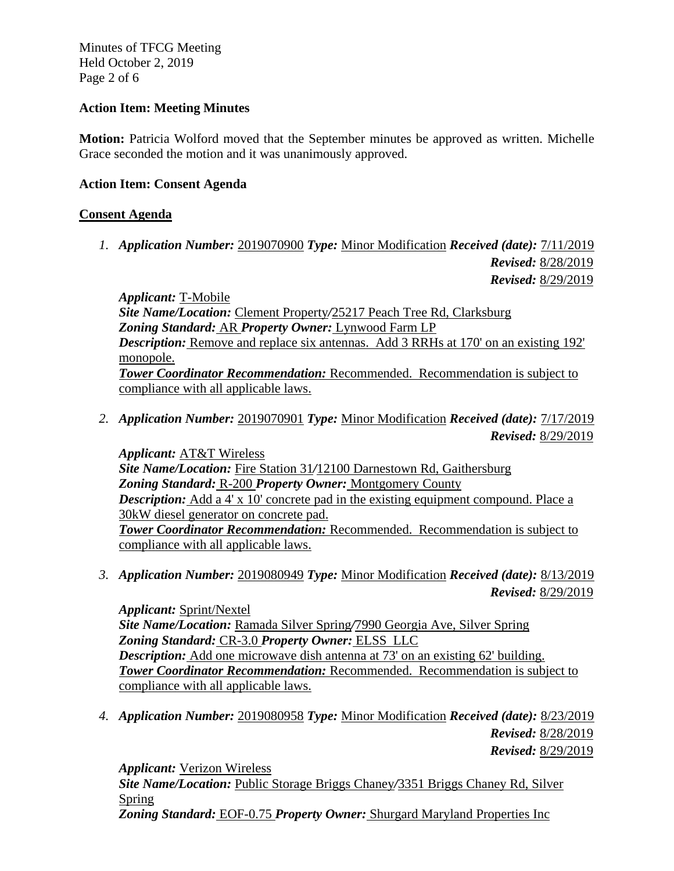Minutes of TFCG Meeting Held October 2, 2019 Page 2 of 6

# **Action Item: Meeting Minutes**

**Motion:** Patricia Wolford moved that the September minutes be approved as written. Michelle Grace seconded the motion and it was unanimously approved.

# **Action Item: Consent Agenda**

# **Consent Agenda**

*1. Application Number:* 2019070900 *Type:* Minor Modification *Received (date):* 7/11/2019 *Revised:* 8/28/2019 *Revised:* 8/29/2019

*Applicant:* T-Mobile *Site Name/Location:* Clement Property*/*25217 Peach Tree Rd, Clarksburg *Zoning Standard:* AR *Property Owner:* Lynwood Farm LP *Description:* Remove and replace six antennas. Add 3 RRHs at 170' on an existing 192' monopole. *Tower Coordinator Recommendation:* Recommended. Recommendation is subject to compliance with all applicable laws.

*2. Application Number:* 2019070901 *Type:* Minor Modification *Received (date):* 7/17/2019 *Revised:* 8/29/2019

*Applicant:* AT&T Wireless *Site Name/Location:* Fire Station 31*/*12100 Darnestown Rd, Gaithersburg *Zoning Standard:* R-200 *Property Owner:* Montgomery County *Description:* Add a 4' x 10' concrete pad in the existing equipment compound. Place a 30kW diesel generator on concrete pad. *Tower Coordinator Recommendation:* Recommended. Recommendation is subject to compliance with all applicable laws.

*3. Application Number:* 2019080949 *Type:* Minor Modification *Received (date):* 8/13/2019 *Revised:* 8/29/2019

*Applicant:* Sprint/Nextel *Site Name/Location:* Ramada Silver Spring*/*7990 Georgia Ave, Silver Spring *Zoning Standard:* CR-3.0 *Property Owner:* ELSS LLC *Description:* Add one microwave dish antenna at 73' on an existing 62' building. *Tower Coordinator Recommendation:* Recommended. Recommendation is subject to compliance with all applicable laws.

*4. Application Number:* 2019080958 *Type:* Minor Modification *Received (date):* 8/23/2019

*Revised:* 8/28/2019 *Revised:* 8/29/2019

*Applicant:* Verizon Wireless

*Site Name/Location:* Public Storage Briggs Chaney*/*3351 Briggs Chaney Rd, Silver Spring *Zoning Standard:* EOF-0.75 *Property Owner:* Shurgard Maryland Properties Inc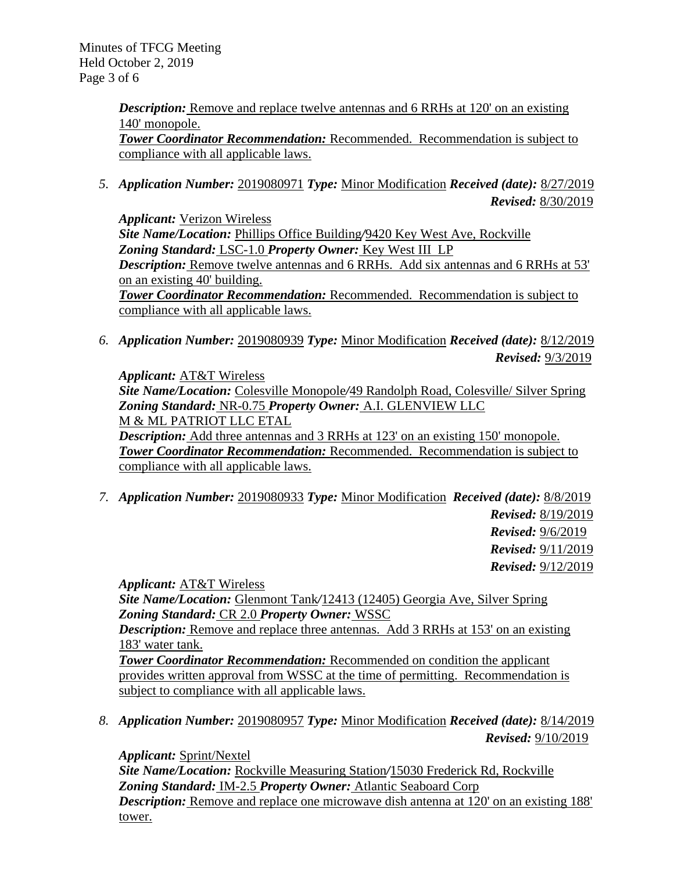Minutes of TFCG Meeting Held October 2, 2019 Page 3 of 6

> *Description:* Remove and replace twelve antennas and 6 RRHs at 120' on an existing 140' monopole. *Tower Coordinator Recommendation:* Recommended. Recommendation is subject to compliance with all applicable laws.

*5. Application Number:* 2019080971 *Type:* Minor Modification *Received (date):* 8/27/2019 *Revised:* 8/30/2019

*Applicant:* Verizon Wireless *Site Name/Location:* Phillips Office Building*/*9420 Key West Ave, Rockville *Zoning Standard:* LSC-1.0 *Property Owner:* Key West III LP *Description:* Remove twelve antennas and 6 RRHs. Add six antennas and 6 RRHs at 53' on an existing 40' building. *Tower Coordinator Recommendation:* Recommended. Recommendation is subject to compliance with all applicable laws.

*6. Application Number:* 2019080939 *Type:* Minor Modification *Received (date):* 8/12/2019 *Revised:* 9/3/2019

*Applicant:* AT&T Wireless *Site Name/Location:* Colesville Monopole*/*49 Randolph Road, Colesville/ Silver Spring *Zoning Standard:* NR-0.75 *Property Owner:* A.I. GLENVIEW LLC M & ML PATRIOT LLC ETAL

*Description:* Add three antennas and 3 RRHs at 123' on an existing 150' monopole. *Tower Coordinator Recommendation:* Recommended. Recommendation is subject to compliance with all applicable laws.

*7. Application Number:* 2019080933 *Type:* Minor Modification *Received (date):* 8/8/2019

*Revised:* 8/19/2019 *Revised:* 9/6/2019 *Revised:* 9/11/2019 *Revised:* 9/12/2019

*Applicant:* AT&T Wireless

*Site Name/Location:* Glenmont Tank*/*12413 (12405) Georgia Ave, Silver Spring *Zoning Standard:* CR 2.0 *Property Owner:* WSSC

*Description:* Remove and replace three antennas. Add 3 RRHs at 153' on an existing 183' water tank.

*Tower Coordinator Recommendation:* Recommended on condition the applicant provides written approval from WSSC at the time of permitting. Recommendation is subject to compliance with all applicable laws.

*8. Application Number:* 2019080957 *Type:* Minor Modification *Received (date):* 8/14/2019 *Revised:* 9/10/2019

*Applicant:* Sprint/Nextel

*Site Name/Location:* Rockville Measuring Station*/*15030 Frederick Rd, Rockville *Zoning Standard:* IM-2.5 *Property Owner:* Atlantic Seaboard Corp *Description:* Remove and replace one microwave dish antenna at 120' on an existing 188' tower.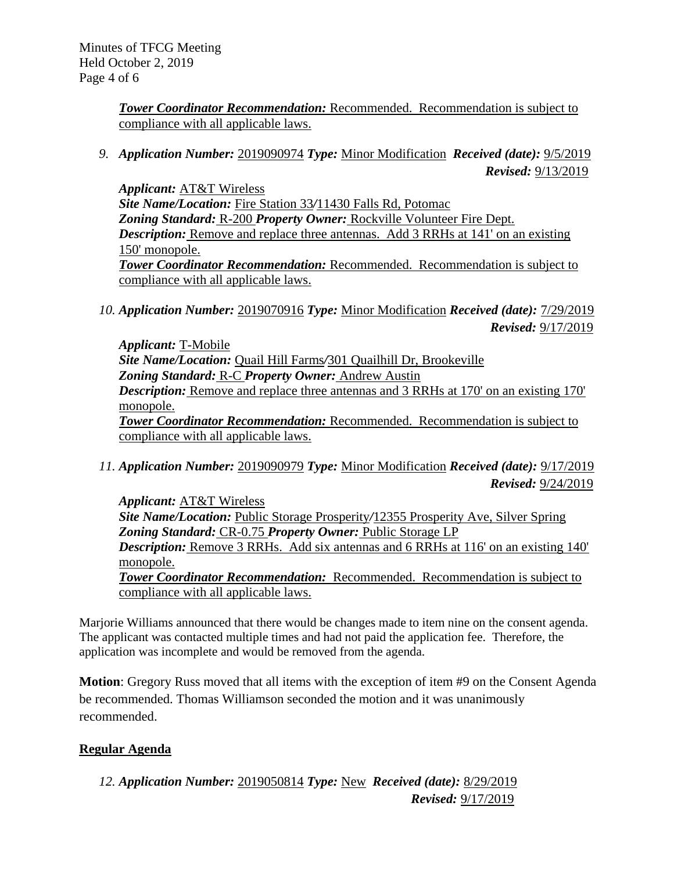*Tower Coordinator Recommendation:* Recommended. Recommendation is subject to compliance with all applicable laws.

*9. Application Number:* 2019090974 *Type:* Minor Modification *Received (date):* 9/5/2019 *Revised:* 9/13/2019

*Applicant:* AT&T Wireless *Site Name/Location:* Fire Station 33*/*11430 Falls Rd, Potomac *Zoning Standard:* R-200 *Property Owner:* Rockville Volunteer Fire Dept. *Description:* Remove and replace three antennas. Add 3 RRHs at 141' on an existing 150' monopole. *Tower Coordinator Recommendation:* Recommended. Recommendation is subject to compliance with all applicable laws.

*10. Application Number:* 2019070916 *Type:* Minor Modification *Received (date):* 7/29/2019 *Revised:* 9/17/2019

*Applicant:* T-Mobile *Site Name/Location:* Quail Hill Farms*/*301 Quailhill Dr, Brookeville *Zoning Standard:* R-C *Property Owner:* Andrew Austin *Description:* Remove and replace three antennas and 3 RRHs at 170' on an existing 170' monopole. *Tower Coordinator Recommendation:* Recommended. Recommendation is subject to compliance with all applicable laws.

*11. Application Number:* 2019090979 *Type:* Minor Modification *Received (date):* 9/17/2019 *Revised:* 9/24/2019

*Applicant:* AT&T Wireless *Site Name/Location:* Public Storage Prosperity*/*12355 Prosperity Ave, Silver Spring *Zoning Standard:* CR-0.75 *Property Owner:* Public Storage LP *Description:* Remove 3 RRHs. Add six antennas and 6 RRHs at 116' on an existing 140' monopole. *Tower Coordinator Recommendation:* Recommended. Recommendation is subject to

compliance with all applicable laws.

Marjorie Williams announced that there would be changes made to item nine on the consent agenda. The applicant was contacted multiple times and had not paid the application fee. Therefore, the application was incomplete and would be removed from the agenda.

**Motion**: Gregory Russ moved that all items with the exception of item #9 on the Consent Agenda be recommended. Thomas Williamson seconded the motion and it was unanimously recommended.

# **Regular Agenda**

*12. Application Number:* 2019050814 *Type:* New *Received (date):* 8/29/2019 *Revised:* 9/17/2019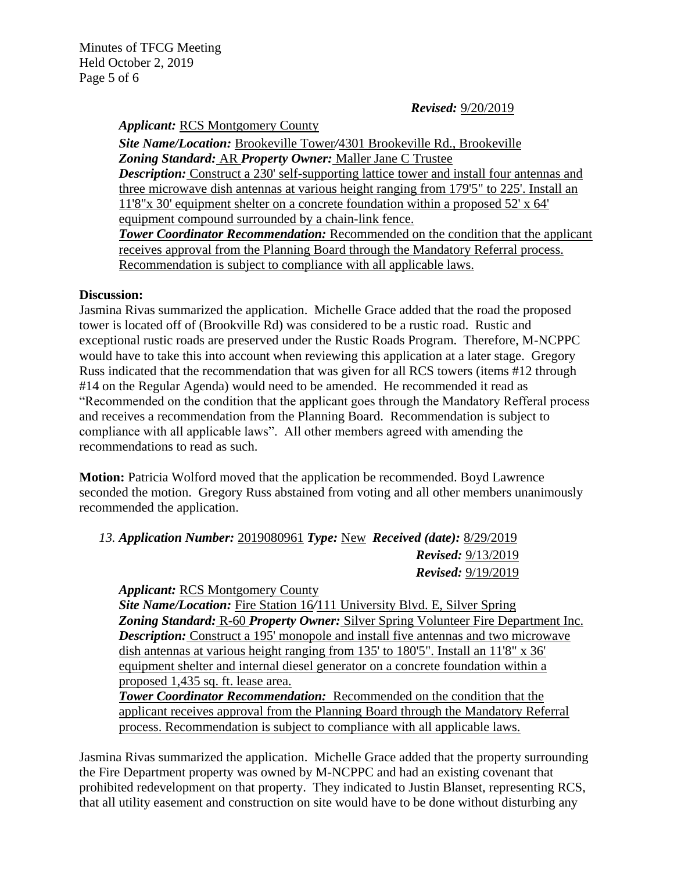Minutes of TFCG Meeting Held October 2, 2019 Page 5 of 6

### *Revised:* 9/20/2019

*Applicant:* RCS Montgomery County

*Site Name/Location:* Brookeville Tower*/*4301 Brookeville Rd., Brookeville *Zoning Standard:* AR *Property Owner:* Maller Jane C Trustee *Description:* Construct a 230' self-supporting lattice tower and install four antennas and three microwave dish antennas at various height ranging from 179'5" to 225'. Install an 11'8"x 30' equipment shelter on a concrete foundation within a proposed 52' x 64' equipment compound surrounded by a chain-link fence.

**Tower Coordinator Recommendation:** Recommended on the condition that the applicant receives approval from the Planning Board through the Mandatory Referral process. Recommendation is subject to compliance with all applicable laws.

#### **Discussion:**

Jasmina Rivas summarized the application. Michelle Grace added that the road the proposed tower is located off of (Brookville Rd) was considered to be a rustic road. Rustic and exceptional rustic roads are preserved under the Rustic Roads Program. Therefore, M-NCPPC would have to take this into account when reviewing this application at a later stage. Gregory Russ indicated that the recommendation that was given for all RCS towers (items #12 through #14 on the Regular Agenda) would need to be amended. He recommended it read as "Recommended on the condition that the applicant goes through the Mandatory Refferal process and receives a recommendation from the Planning Board. Recommendation is subject to compliance with all applicable laws". All other members agreed with amending the recommendations to read as such.

**Motion:** Patricia Wolford moved that the application be recommended. Boyd Lawrence seconded the motion. Gregory Russ abstained from voting and all other members unanimously recommended the application.

*13. Application Number:* 2019080961 *Type:* New *Received (date):* 8/29/2019 *Revised:* 9/13/2019 *Revised:* 9/19/2019

#### *Applicant:* RCS Montgomery County

*Site Name/Location:* Fire Station 16*/*111 University Blvd. E, Silver Spring *Zoning Standard:* R-60 *Property Owner:* Silver Spring Volunteer Fire Department Inc. *Description:* Construct a 195' monopole and install five antennas and two microwave dish antennas at various height ranging from 135' to 180'5". Install an 11'8" x 36' equipment shelter and internal diesel generator on a concrete foundation within a proposed 1,435 sq. ft. lease area.

*Tower Coordinator Recommendation:* Recommended on the condition that the applicant receives approval from the Planning Board through the Mandatory Referral process. Recommendation is subject to compliance with all applicable laws.

Jasmina Rivas summarized the application. Michelle Grace added that the property surrounding the Fire Department property was owned by M-NCPPC and had an existing covenant that prohibited redevelopment on that property. They indicated to Justin Blanset, representing RCS, that all utility easement and construction on site would have to be done without disturbing any